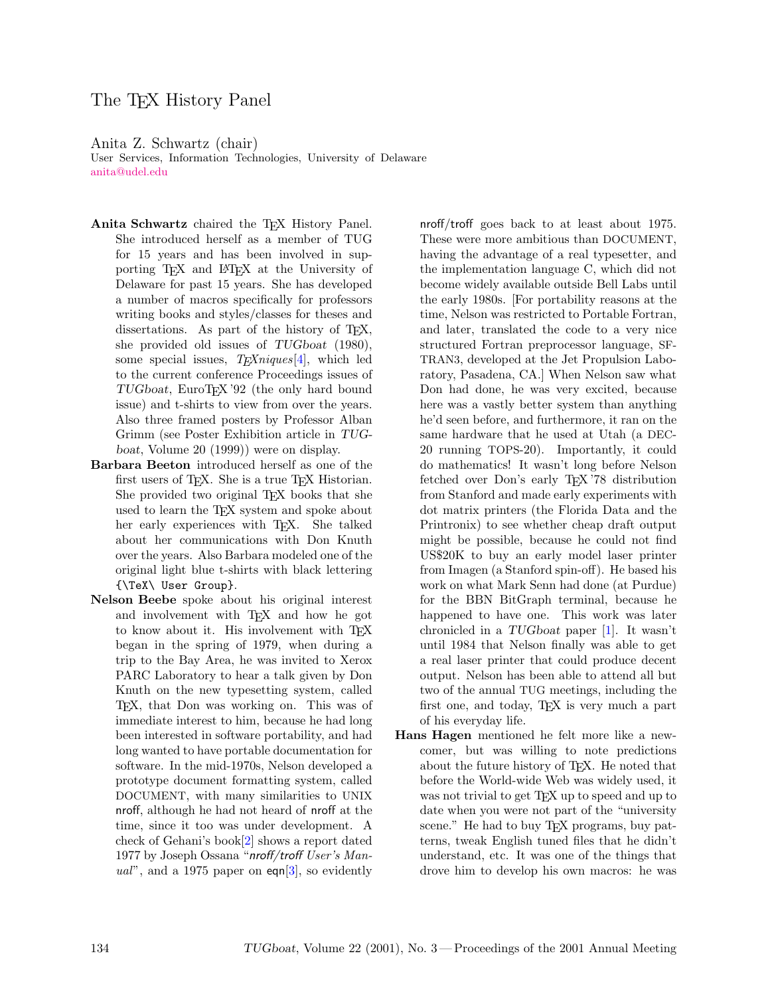## The T<sub>F</sub>X History Panel

Anita Z. Schwartz (chair)

User Services, Information Technologies, University of Delaware [anita@udel.edu](mailto:anita@udel.edu)

- Anita Schwartz chaired the T<sub>E</sub>X History Panel. She introduced herself as a member of TUG for 15 years and has been involved in supporting TEX and LATEX at the University of Delaware for past 15 years. She has developed a number of macros specifically for professors writing books and styles/classes for theses and dissertations. As part of the history of TEX, she provided old issues of TUGboat (1980), some special issues,  $T_{E}Xniques[4]$  $T_{E}Xniques[4]$ , which led to the current conference Proceedings issues of TUGboat, EuroT<sub>F</sub>X'92 (the only hard bound issue) and t-shirts to view from over the years. Also three framed posters by Professor Alban Grimm (see Poster Exhibition article in TUGboat, Volume 20 (1999)) were on display.
- Barbara Beeton introduced herself as one of the first users of TEX. She is a true TEX Historian. She provided two original TEX books that she used to learn the T<sub>E</sub>X system and spoke about her early experiences with T<sub>E</sub>X. She talked about her communications with Don Knuth over the years. Also Barbara modeled one of the original light blue t-shirts with black lettering {\TeX\ User Group}.
- Nelson Beebe spoke about his original interest and involvement with TEX and how he got to know about it. His involvement with TFX began in the spring of 1979, when during a trip to the Bay Area, he was invited to Xerox PARC Laboratory to hear a talk given by Don Knuth on the new typesetting system, called TEX, that Don was working on. This was of immediate interest to him, because he had long been interested in software portability, and had long wanted to have portable documentation for software. In the mid-1970s, Nelson developed a prototype document formatting system, called DOCUMENT, with many similarities to UNIX nroff, although he had not heard of nroff at the time, since it too was under development. A check of Gehani's book[\[2\]](#page-1-1) shows a report dated 1977 by Joseph Ossana "nroff/troff User's Manual", and a 1975 paper on eqn $[3]$ , so evidently

nroff/troff goes back to at least about 1975. These were more ambitious than DOCUMENT, having the advantage of a real typesetter, and the implementation language C, which did not become widely available outside Bell Labs until the early 1980s. [For portability reasons at the time, Nelson was restricted to Portable Fortran, and later, translated the code to a very nice structured Fortran preprocessor language, SF-TRAN3, developed at the Jet Propulsion Laboratory, Pasadena, CA.] When Nelson saw what Don had done, he was very excited, because here was a vastly better system than anything he'd seen before, and furthermore, it ran on the same hardware that he used at Utah (a DEC-20 running TOPS-20). Importantly, it could do mathematics! It wasn't long before Nelson fetched over Don's early TEX '78 distribution from Stanford and made early experiments with dot matrix printers (the Florida Data and the Printronix) to see whether cheap draft output might be possible, because he could not find US\$20K to buy an early model laser printer from Imagen (a Stanford spin-off). He based his work on what Mark Senn had done (at Purdue) for the BBN BitGraph terminal, because he happened to have one. This work was later chronicled in a TUGboat paper [\[1\]](#page-1-3). It wasn't until 1984 that Nelson finally was able to get a real laser printer that could produce decent output. Nelson has been able to attend all but two of the annual TUG meetings, including the first one, and today, TEX is very much a part of his everyday life.

Hans Hagen mentioned he felt more like a newcomer, but was willing to note predictions about the future history of TEX. He noted that before the World-wide Web was widely used, it was not trivial to get T<sub>E</sub>X up to speed and up to date when you were not part of the "university scene." He had to buy T<sub>F</sub>X programs, buy patterns, tweak English tuned files that he didn't understand, etc. It was one of the things that drove him to develop his own macros: he was